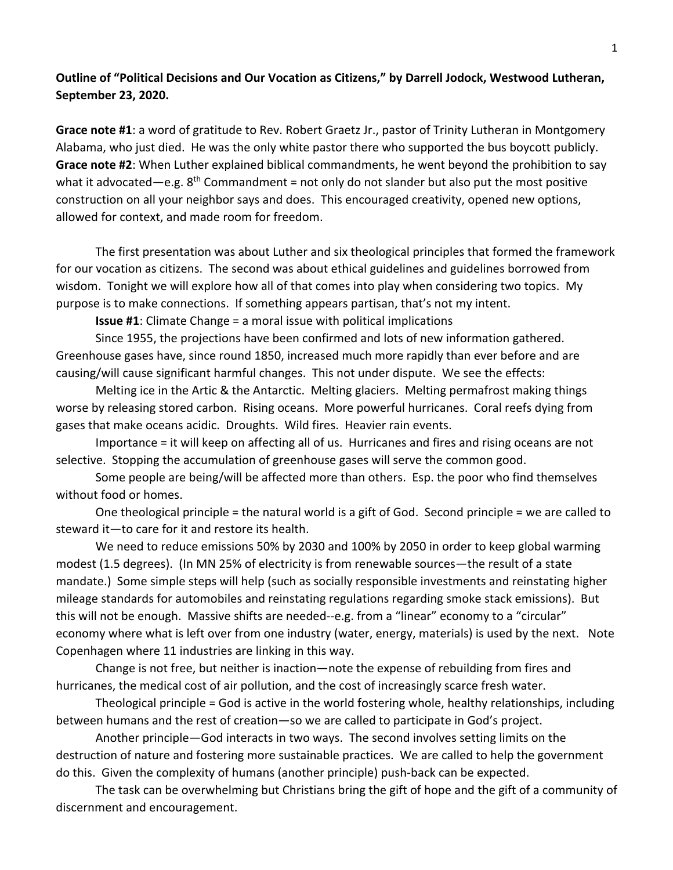## **Outline of "Political Decisions and Our Vocation as Citizens," by Darrell Jodock, Westwood Lutheran, September 23, 2020.**

**Grace note #1**: a word of gratitude to Rev. Robert Graetz Jr., pastor of Trinity Lutheran in Montgomery Alabama, who just died. He was the only white pastor there who supported the bus boycott publicly. **Grace note #2**: When Luther explained biblical commandments, he went beyond the prohibition to say what it advocated—e.g.  $8<sup>th</sup>$  Commandment = not only do not slander but also put the most positive construction on all your neighbor says and does. This encouraged creativity, opened new options, allowed for context, and made room for freedom.

The first presentation was about Luther and six theological principles that formed the framework for our vocation as citizens. The second was about ethical guidelines and guidelines borrowed from wisdom. Tonight we will explore how all of that comes into play when considering two topics. My purpose is to make connections. If something appears partisan, that's not my intent.

**Issue #1**: Climate Change = a moral issue with political implications

Since 1955, the projections have been confirmed and lots of new information gathered. Greenhouse gases have, since round 1850, increased much more rapidly than ever before and are causing/will cause significant harmful changes. This not under dispute. We see the effects:

Melting ice in the Artic & the Antarctic. Melting glaciers. Melting permafrost making things worse by releasing stored carbon. Rising oceans. More powerful hurricanes. Coral reefs dying from gases that make oceans acidic. Droughts. Wild fires. Heavier rain events.

Importance = it will keep on affecting all of us. Hurricanes and fires and rising oceans are not selective. Stopping the accumulation of greenhouse gases will serve the common good.

Some people are being/will be affected more than others. Esp. the poor who find themselves without food or homes.

One theological principle = the natural world is a gift of God. Second principle = we are called to steward it—to care for it and restore its health.

We need to reduce emissions 50% by 2030 and 100% by 2050 in order to keep global warming modest (1.5 degrees). (In MN 25% of electricity is from renewable sources—the result of a state mandate.) Some simple steps will help (such as socially responsible investments and reinstating higher mileage standards for automobiles and reinstating regulations regarding smoke stack emissions). But this will not be enough. Massive shifts are needed--e.g. from a "linear" economy to a "circular" economy where what is left over from one industry (water, energy, materials) is used by the next. Note Copenhagen where 11 industries are linking in this way.

Change is not free, but neither is inaction—note the expense of rebuilding from fires and hurricanes, the medical cost of air pollution, and the cost of increasingly scarce fresh water.

Theological principle = God is active in the world fostering whole, healthy relationships, including between humans and the rest of creation—so we are called to participate in God's project.

Another principle—God interacts in two ways. The second involves setting limits on the destruction of nature and fostering more sustainable practices. We are called to help the government do this. Given the complexity of humans (another principle) push-back can be expected.

The task can be overwhelming but Christians bring the gift of hope and the gift of a community of discernment and encouragement.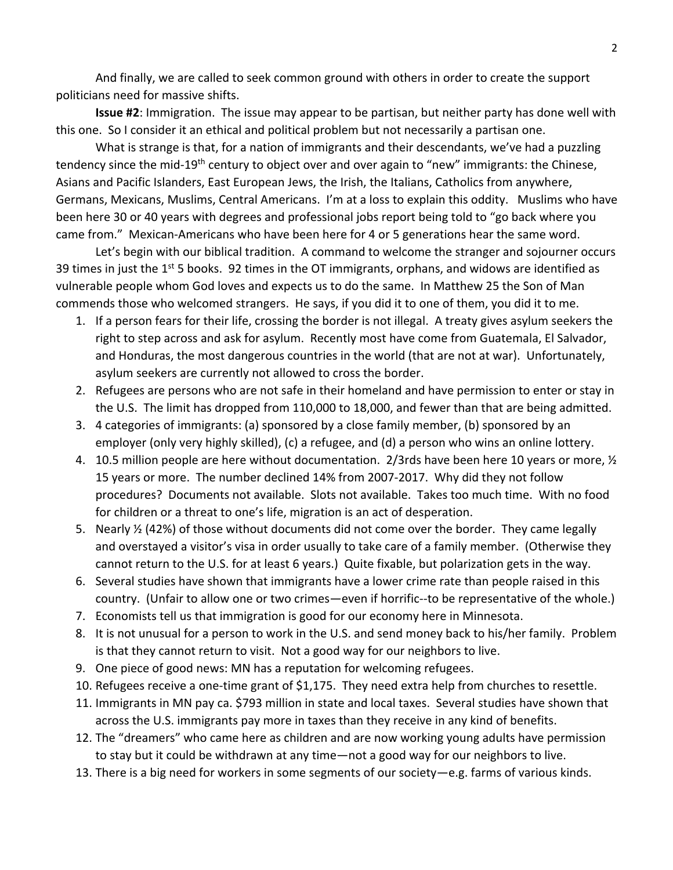And finally, we are called to seek common ground with others in order to create the support politicians need for massive shifts.

**Issue #2**: Immigration. The issue may appear to be partisan, but neither party has done well with this one. So I consider it an ethical and political problem but not necessarily a partisan one.

What is strange is that, for a nation of immigrants and their descendants, we've had a puzzling tendency since the mid-19<sup>th</sup> century to object over and over again to "new" immigrants: the Chinese, Asians and Pacific Islanders, East European Jews, the Irish, the Italians, Catholics from anywhere, Germans, Mexicans, Muslims, Central Americans. I'm at a loss to explain this oddity. Muslims who have been here 30 or 40 years with degrees and professional jobs report being told to "go back where you came from." Mexican-Americans who have been here for 4 or 5 generations hear the same word.

Let's begin with our biblical tradition. A command to welcome the stranger and sojourner occurs 39 times in just the 1<sup>st</sup> 5 books. 92 times in the OT immigrants, orphans, and widows are identified as vulnerable people whom God loves and expects us to do the same. In Matthew 25 the Son of Man commends those who welcomed strangers. He says, if you did it to one of them, you did it to me.

- 1. If a person fears for their life, crossing the border is not illegal. A treaty gives asylum seekers the right to step across and ask for asylum. Recently most have come from Guatemala, El Salvador, and Honduras, the most dangerous countries in the world (that are not at war). Unfortunately, asylum seekers are currently not allowed to cross the border.
- 2. Refugees are persons who are not safe in their homeland and have permission to enter or stay in the U.S. The limit has dropped from 110,000 to 18,000, and fewer than that are being admitted.
- 3. 4 categories of immigrants: (a) sponsored by a close family member, (b) sponsored by an employer (only very highly skilled), (c) a refugee, and (d) a person who wins an online lottery.
- 4. 10.5 million people are here without documentation. 2/3rds have been here 10 years or more,  $\frac{1}{2}$ 15 years or more. The number declined 14% from 2007-2017. Why did they not follow procedures? Documents not available. Slots not available. Takes too much time. With no food for children or a threat to one's life, migration is an act of desperation.
- 5. Nearly  $\frac{1}{2}$  (42%) of those without documents did not come over the border. They came legally and overstayed a visitor's visa in order usually to take care of a family member. (Otherwise they cannot return to the U.S. for at least 6 years.) Quite fixable, but polarization gets in the way.
- 6. Several studies have shown that immigrants have a lower crime rate than people raised in this country. (Unfair to allow one or two crimes—even if horrific--to be representative of the whole.)
- 7. Economists tell us that immigration is good for our economy here in Minnesota.
- 8. It is not unusual for a person to work in the U.S. and send money back to his/her family. Problem is that they cannot return to visit. Not a good way for our neighbors to live.
- 9. One piece of good news: MN has a reputation for welcoming refugees.
- 10. Refugees receive a one-time grant of \$1,175. They need extra help from churches to resettle.
- 11. Immigrants in MN pay ca. \$793 million in state and local taxes. Several studies have shown that across the U.S. immigrants pay more in taxes than they receive in any kind of benefits.
- 12. The "dreamers" who came here as children and are now working young adults have permission to stay but it could be withdrawn at any time—not a good way for our neighbors to live.
- 13. There is a big need for workers in some segments of our society—e.g. farms of various kinds.